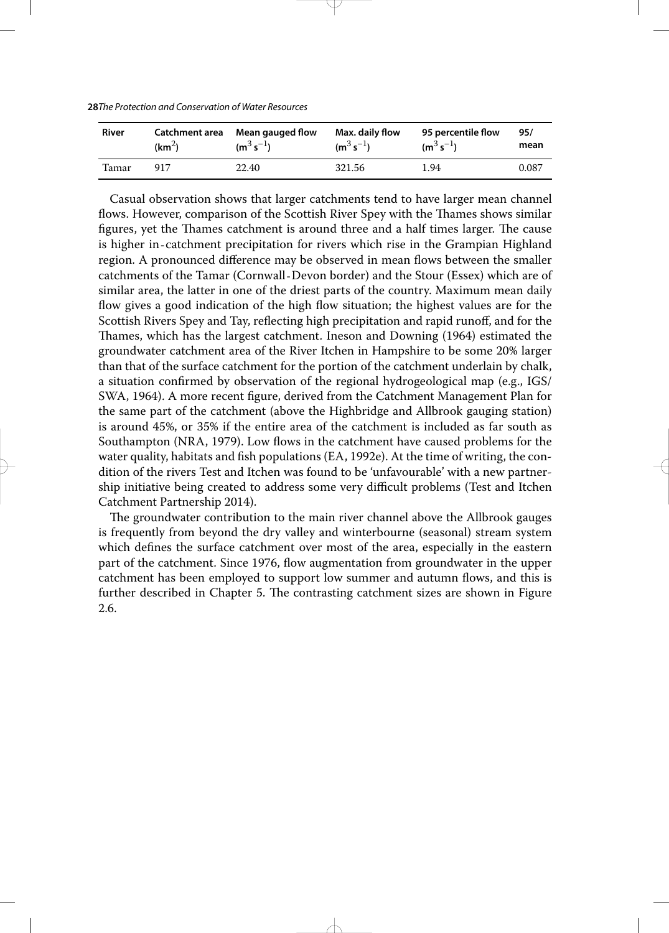| <b>28</b> The Protection and Conservation of Water Resources |  |
|--------------------------------------------------------------|--|
|--------------------------------------------------------------|--|

| River | Catchment area     | Mean gauged flow | Max. daily flow | 95 percentile flow | 95/   |
|-------|--------------------|------------------|-----------------|--------------------|-------|
|       | (km <sup>2</sup> ) | $(m^3 s^{-1})$   | $(m^3 s^{-1})$  | $(m^3 s^{-1})$     | mean  |
| Tamar | 917                | 22.40            | 321.56          | 1.94               | 0.087 |

Casual observation shows that larger catchments tend to have larger mean channel flows. However, comparison of the Scottish River Spey with the Thames shows similar figures, yet the Thames catchment is around three and a half times larger. The cause is higher in‐catchment precipitation for rivers which rise in the Grampian Highland region. A pronounced difference may be observed in mean flows between the smaller catchments of the Tamar (Cornwall‐Devon border) and the Stour (Essex) which are of similar area, the latter in one of the driest parts of the country. Maximum mean daily flow gives a good indication of the high flow situation; the highest values are for the Scottish Rivers Spey and Tay, reflecting high precipitation and rapid runoff, and for the Thames, which has the largest catchment. Ineson and Downing (1964) estimated the groundwater catchment area of the River Itchen in Hampshire to be some 20% larger than that of the surface catchment for the portion of the catchment underlain by chalk, a situation confirmed by observation of the regional hydrogeological map (e.g., IGS/ SWA, 1964). A more recent figure, derived from the Catchment Management Plan for the same part of the catchment (above the Highbridge and Allbrook gauging station) is around 45%, or 35% if the entire area of the catchment is included as far south as Southampton (NRA, 1979). Low flows in the catchment have caused problems for the water quality, habitats and fish populations (EA, 1992e). At the time of writing, the condition of the rivers Test and Itchen was found to be 'unfavourable' with a new partnership initiative being created to address some very difficult problems (Test and Itchen Catchment Partnership 2014).

The groundwater contribution to the main river channel above the Allbrook gauges is frequently from beyond the dry valley and winterbourne (seasonal) stream system which defines the surface catchment over most of the area, especially in the eastern part of the catchment. Since 1976, flow augmentation from groundwater in the upper catchment has been employed to support low summer and autumn flows, and this is further described in Chapter 5. The contrasting catchment sizes are shown in Figure 2.6.